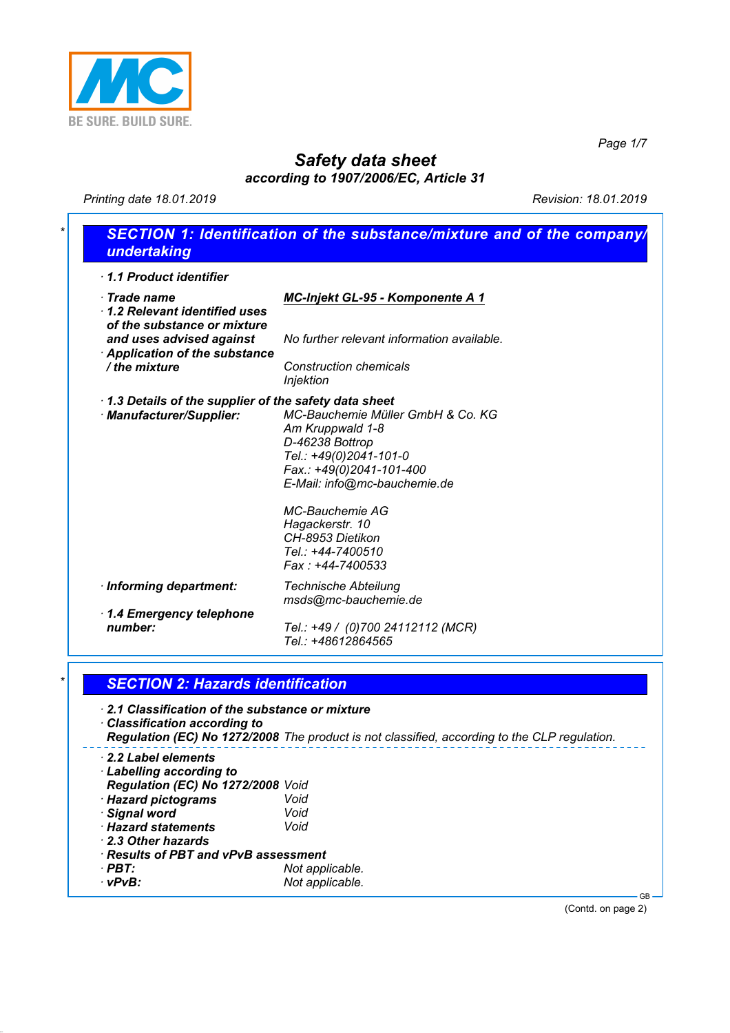

*Page 1/7*

# *Safety data sheet*

*according to 1907/2006/EC, Article 31*

*Printing date 18.01.2019 Revision: 18.01.2019*

| 1.1 Product identifier<br>$\cdot$ Trade name<br>1.2 Relevant identified uses         |                                                                                              |
|--------------------------------------------------------------------------------------|----------------------------------------------------------------------------------------------|
|                                                                                      |                                                                                              |
| of the substance or mixture                                                          | <b>MC-Injekt GL-95 - Komponente A 1</b>                                                      |
| and uses advised against<br><b>Application of the substance</b>                      | No further relevant information available.                                                   |
| / the mixture                                                                        | <b>Construction chemicals</b><br><b>Injektion</b>                                            |
| 1.3 Details of the supplier of the safety data sheet                                 |                                                                                              |
| · Manufacturer/Supplier:                                                             | MC-Bauchemie Müller GmbH & Co. KG                                                            |
|                                                                                      | Am Kruppwald 1-8                                                                             |
|                                                                                      | D-46238 Bottrop                                                                              |
|                                                                                      | Tel.: +49(0)2041-101-0                                                                       |
|                                                                                      | Fax.: +49(0)2041-101-400                                                                     |
|                                                                                      | E-Mail: info@mc-bauchemie.de                                                                 |
|                                                                                      | <b>MC-Bauchemie AG</b>                                                                       |
|                                                                                      | Hagackerstr. 10                                                                              |
|                                                                                      | CH-8953 Dietikon                                                                             |
|                                                                                      | Tel.: +44-7400510                                                                            |
|                                                                                      | Fax: +44-7400533                                                                             |
| · Informing department:                                                              | <b>Technische Abteilung</b>                                                                  |
|                                                                                      | msds@mc-bauchemie.de                                                                         |
| 1.4 Emergency telephone                                                              |                                                                                              |
| number:                                                                              | Tel.: +49 / (0)700 24112112 (MCR)                                                            |
|                                                                                      | Tel.: +48612864565                                                                           |
| <b>SECTION 2: Hazards identification</b>                                             |                                                                                              |
|                                                                                      |                                                                                              |
| 2.1 Classification of the substance or mixture<br><b>Classification according to</b> |                                                                                              |
|                                                                                      | Regulation (EC) No 1272/2008 The product is not classified, according to the CLP regulation. |
| 2.2 Label elements                                                                   |                                                                                              |
| <b>Labelling according to</b>                                                        |                                                                                              |
| Regulation (EC) No 1272/2008 Void                                                    |                                                                                              |
| · Hazard pictograms                                                                  | Void                                                                                         |
| · Signal word                                                                        | Void                                                                                         |
| · Hazard statements                                                                  | Void                                                                                         |
| 2.3 Other hazards                                                                    |                                                                                              |
| · Results of PBT and vPvB assessment<br>$\cdot$ PBT:                                 |                                                                                              |
|                                                                                      | Not applicable.                                                                              |

(Contd. on page 2)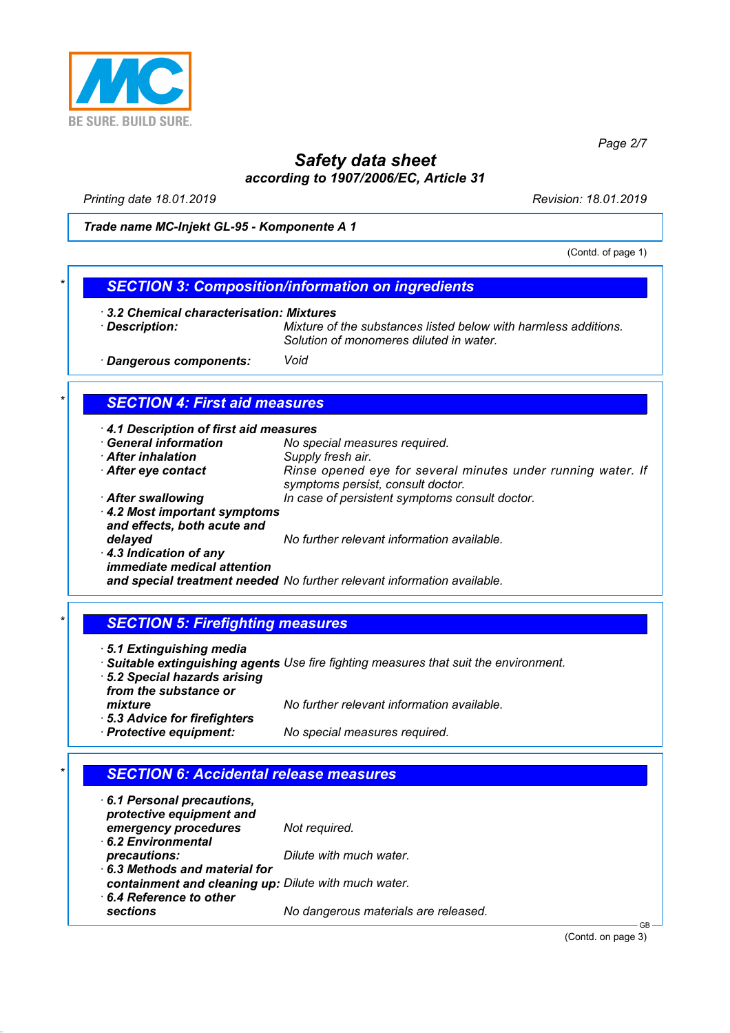

*Page 2/7*

## *Safety data sheet according to 1907/2006/EC, Article 31*

*Printing date 18.01.2019 Revision: 18.01.2019*

*Trade name MC-Injekt GL-95 - Komponente A 1*

(Contd. of page 1)

### *\* SECTION 3: Composition/information on ingredients*

- *· 3.2 Chemical characterisation: Mixtures*
- 

*· Description: Mixture of the substances listed below with harmless additions. Solution of monomeres diluted in water.*

*· Dangerous components: Void*

### *\* SECTION 4: First aid measures*

| 4.1 Description of first aid measures                       |                                                                                                   |
|-------------------------------------------------------------|---------------------------------------------------------------------------------------------------|
| <b>General information</b>                                  | No special measures required.                                                                     |
| <b>After inhalation</b>                                     | Supply fresh air.                                                                                 |
| After eye contact                                           | Rinse opened eye for several minutes under running water. If<br>symptoms persist, consult doctor. |
| <b>After swallowing</b>                                     | In case of persistent symptoms consult doctor.                                                    |
| 4.2 Most important symptoms<br>and effects, both acute and  |                                                                                                   |
| delayed                                                     | No further relevant information available.                                                        |
| 4.3 Indication of any<br><i>immediate medical attention</i> |                                                                                                   |
|                                                             | and special treatment needed No further relevant information available.                           |
|                                                             |                                                                                                   |

### *\* SECTION 5: Firefighting measures*

- *· 5.1 Extinguishing media*
- *· Suitable extinguishing agents Use fire fighting measures that suit the environment.*
- *· 5.2 Special hazards arising from the substance or mixture No further relevant information available.*
- *· 5.3 Advice for firefighters*

*· Protective equipment: No special measures required.*

### *\* SECTION 6: Accidental release measures*

*· 6.1 Personal precautions, protective equipment and emergency procedures Not required. · 6.2 Environmental precautions: Dilute with much water. · 6.3 Methods and material for containment and cleaning up: Dilute with much water. · 6.4 Reference to other sections No dangerous materials are released.*

(Contd. on page 3)

GB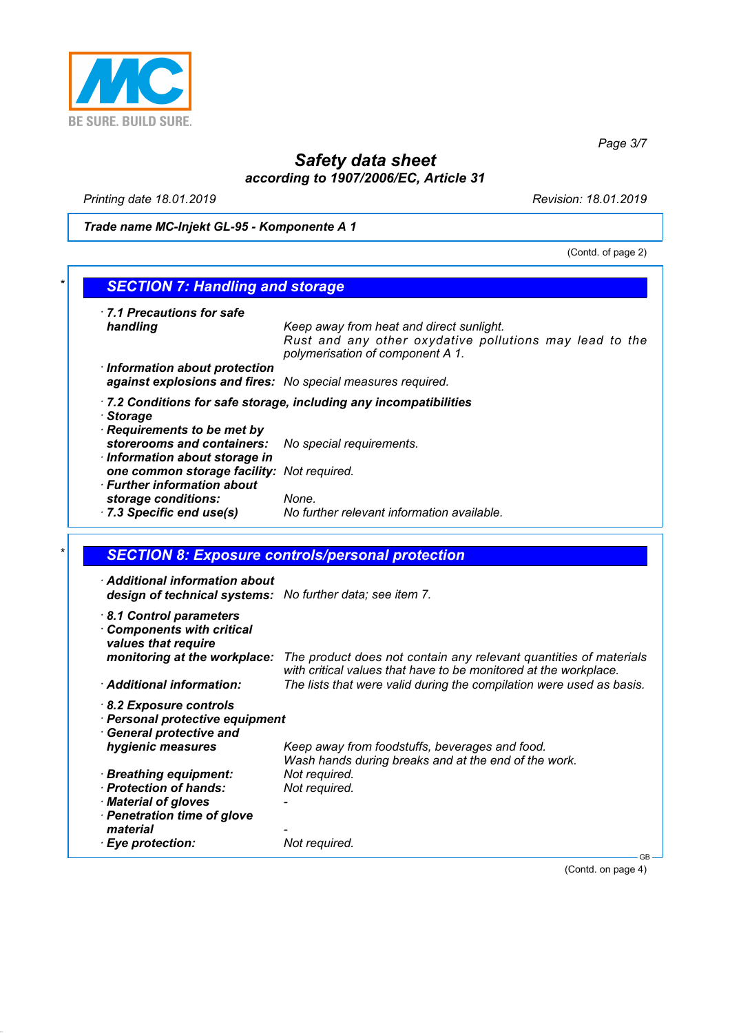

*Page 3/7*

# *Safety data sheet according to 1907/2006/EC, Article 31*

*Printing date 18.01.2019 Revision: 18.01.2019*

*Trade name MC-Injekt GL-95 - Komponente A 1*

(Contd. of page 2)

| 7.1 Precautions for safe<br>handling                                                                                                                                                  | Keep away from heat and direct sunlight.<br>Rust and any other oxydative pollutions may lead to the<br>polymerisation of component A 1.   |
|---------------------------------------------------------------------------------------------------------------------------------------------------------------------------------------|-------------------------------------------------------------------------------------------------------------------------------------------|
| · Information about protection<br>against explosions and fires: No special measures required.                                                                                         |                                                                                                                                           |
|                                                                                                                                                                                       | 7.2 Conditions for safe storage, including any incompatibilities                                                                          |
| · Storage<br>Requirements to be met by                                                                                                                                                |                                                                                                                                           |
| storerooms and containers:                                                                                                                                                            | No special requirements.                                                                                                                  |
| · Information about storage in<br>one common storage facility: Not required.<br>$\cdot$ Further information about                                                                     |                                                                                                                                           |
| storage conditions:                                                                                                                                                                   | None.                                                                                                                                     |
| 7.3 Specific end use(s)                                                                                                                                                               | No further relevant information available.                                                                                                |
|                                                                                                                                                                                       |                                                                                                                                           |
| <b>SECTION 8: Exposure controls/personal protection</b>                                                                                                                               |                                                                                                                                           |
|                                                                                                                                                                                       |                                                                                                                                           |
| $\cdot$ Additional information about<br>design of technical systems: No further data; see item 7.<br>8.1 Control parameters<br><b>Components with critical</b><br>values that require |                                                                                                                                           |
| monitoring at the workplace:                                                                                                                                                          | with critical values that have to be monitored at the workplace.                                                                          |
| · Additional information:                                                                                                                                                             |                                                                                                                                           |
| 8.2 Exposure controls<br>· Personal protective equipment                                                                                                                              |                                                                                                                                           |
| <b>General protective and</b><br>hygienic measures                                                                                                                                    | Keep away from foodstuffs, beverages and food.                                                                                            |
| · Breathing equipment:<br>· Protection of hands:                                                                                                                                      | Wash hands during breaks and at the end of the work.<br>Not required.<br>Not required.                                                    |
| · Material of gloves<br>· Penetration time of glove<br>material                                                                                                                       | The product does not contain any relevant quantities of materials<br>The lists that were valid during the compilation were used as basis. |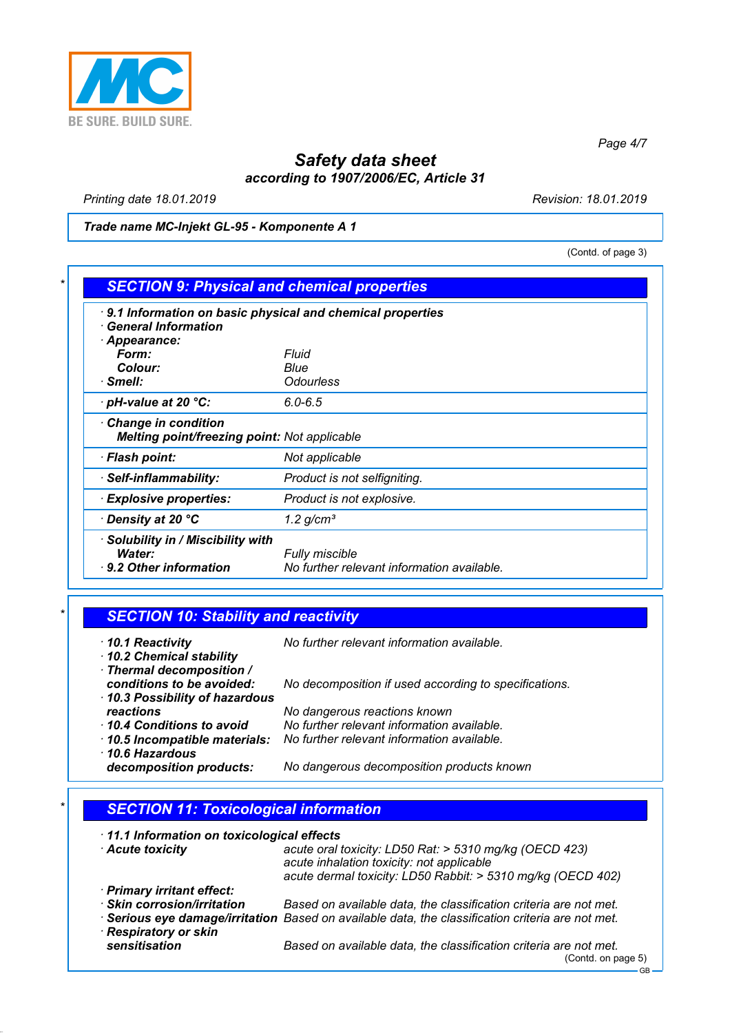

*Page 4/7*

# *Safety data sheet according to 1907/2006/EC, Article 31*

*Printing date 18.01.2019 Revision: 18.01.2019*

*Trade name MC-Injekt GL-95 - Komponente A 1*

(Contd. of page 3)

| <b>General Information</b>                                                 |                              |
|----------------------------------------------------------------------------|------------------------------|
| · Appearance:                                                              |                              |
| Form:                                                                      | Fluid                        |
| Colour:                                                                    | Blue                         |
| · Smell:                                                                   | Odourless                    |
| $\cdot$ pH-value at 20 $\degree$ C:                                        | $6.0 - 6.5$                  |
| <b>Change in condition</b><br>Melting point/freezing point: Not applicable |                              |
|                                                                            | Not applicable               |
| · Flash point:                                                             |                              |
| · Self-inflammability:                                                     | Product is not selfigniting. |
| <b>Explosive properties:</b>                                               | Product is not explosive.    |

| $\star$ | <b>SECTION 10: Stability and reactivity</b> |  |
|---------|---------------------------------------------|--|
|         |                                             |  |

| 10.1 Reactivity<br>10.2 Chemical stability                 | No further relevant information available.            |
|------------------------------------------------------------|-------------------------------------------------------|
| · Thermal decomposition /                                  |                                                       |
| conditions to be avoided:<br>10.3 Possibility of hazardous | No decomposition if used according to specifications. |
| reactions                                                  | No dangerous reactions known                          |
| 10.4 Conditions to avoid                                   | No further relevant information available.            |
| 10.5 Incompatible materials:                               | No further relevant information available.            |
| $\cdot$ 10.6 Hazardous                                     |                                                       |
| decomposition products:                                    | No dangerous decomposition products known             |

### *\* SECTION 11: Toxicological information*

*· 11.1 Information on toxicological effects · Acute toxicity acute oral toxicity: LD50 Rat: > 5310 mg/kg (OECD 423)*

| <b>ACALC COVILITY</b>       | acalc bidi toxicity. EDOU Hat. - OUTU Mighty TOEOD 420)<br>acute inhalation toxicity: not applicable<br>acute dermal toxicity: LD50 Rabbit: > 5310 mg/kg (OECD 402) |
|-----------------------------|---------------------------------------------------------------------------------------------------------------------------------------------------------------------|
| · Primary irritant effect:  |                                                                                                                                                                     |
| · Skin corrosion/irritation | Based on available data, the classification criteria are not met.                                                                                                   |
|                             | · Serious eye damage/irritation Based on available data, the classification criteria are not met.                                                                   |
| · Respiratory or skin       |                                                                                                                                                                     |
| sensitisation               | Based on available data, the classification criteria are not met.                                                                                                   |
|                             | (Contd. on page 5)                                                                                                                                                  |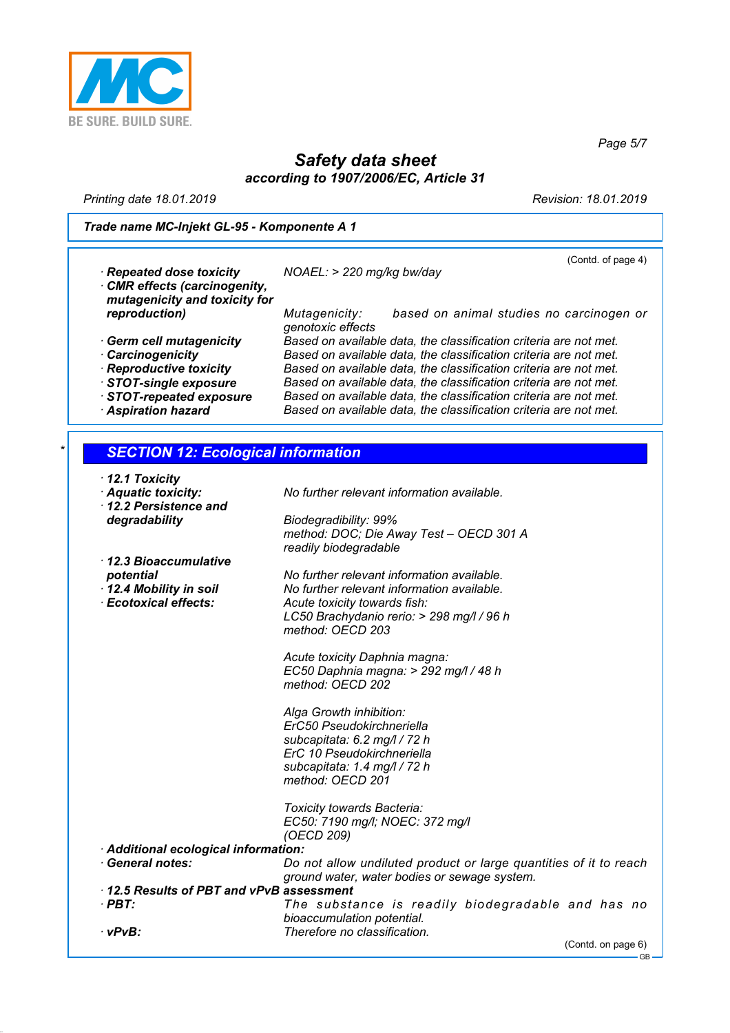

*Safety data sheet according to 1907/2006/EC, Article 31*

*Printing date 18.01.2019 Revision: 18.01.2019*

*Page 5/7*

*Trade name MC-Injekt GL-95 - Komponente A 1*

|                                           | (Contd. of page 4)                                                |
|-------------------------------------------|-------------------------------------------------------------------|
| · Repeated dose toxicity                  | $NOAEL$ : > 220 mg/kg bw/day                                      |
| CMR effects (carcinogenity,               |                                                                   |
| mutagenicity and toxicity for             |                                                                   |
| reproduction)                             | based on animal studies no carcinogen or<br>Mutagenicity:         |
|                                           | genotoxic effects                                                 |
| Germ cell mutagenicity                    | Based on available data, the classification criteria are not met. |
| · Carcinogenicity                         | Based on available data, the classification criteria are not met. |
| · Reproductive toxicity                   | Based on available data, the classification criteria are not met. |
| STOT-single exposure                      | Based on available data, the classification criteria are not met. |
| STOT-repeated exposure                    | Based on available data, the classification criteria are not met. |
| <b>Aspiration hazard</b>                  | Based on available data, the classification criteria are not met. |
|                                           |                                                                   |
| <b>SECTION 12: Ecological information</b> |                                                                   |
| $\cdot$ 12.1 Toxicity                     |                                                                   |
| Aquatic toxicity:                         | No further relevant information available.                        |
| 12.2 Persistence and                      |                                                                   |
| degradability                             | Biodegradibility: 99%                                             |

*· 12.3 Bioaccumulative*

*method: DOC; Die Away Test – OECD 301 A readily biodegradable*

*No further relevant information available. · 12.4 Mobility in soil No further relevant information available. · Ecotoxical effects: Acute toxicity towards fish: LC50 Brachydanio rerio: > 298 mg/l / 96 h method: OECD 203*

> *Acute toxicity Daphnia magna: EC50 Daphnia magna: > 292 mg/l / 48 h method: OECD 202*

*Alga Growth inhibition: ErC50 Pseudokirchneriella subcapitata: 6.2 mg/l / 72 h ErC 10 Pseudokirchneriella subcapitata: 1.4 mg/l / 72 h method: OECD 201*

*Toxicity towards Bacteria: EC50: 7190 mg/l; NOEC: 372 mg/l (OECD 209)*

*· Additional ecological information:*

| $\cdot$ General notes:                 | Do not allow undiluted product or large quantities of it to reach |
|----------------------------------------|-------------------------------------------------------------------|
|                                        | ground water, water bodies or sewage system.                      |
| 425 Deguite of DDT and vDvD accessment |                                                                   |

*· 12.5 Results of PBT and vPvB assessment* The substance is readily biodegradable and has no *bioaccumulation potential. · vPvB: Therefore no classification.*

(Contd. on page 6)

GB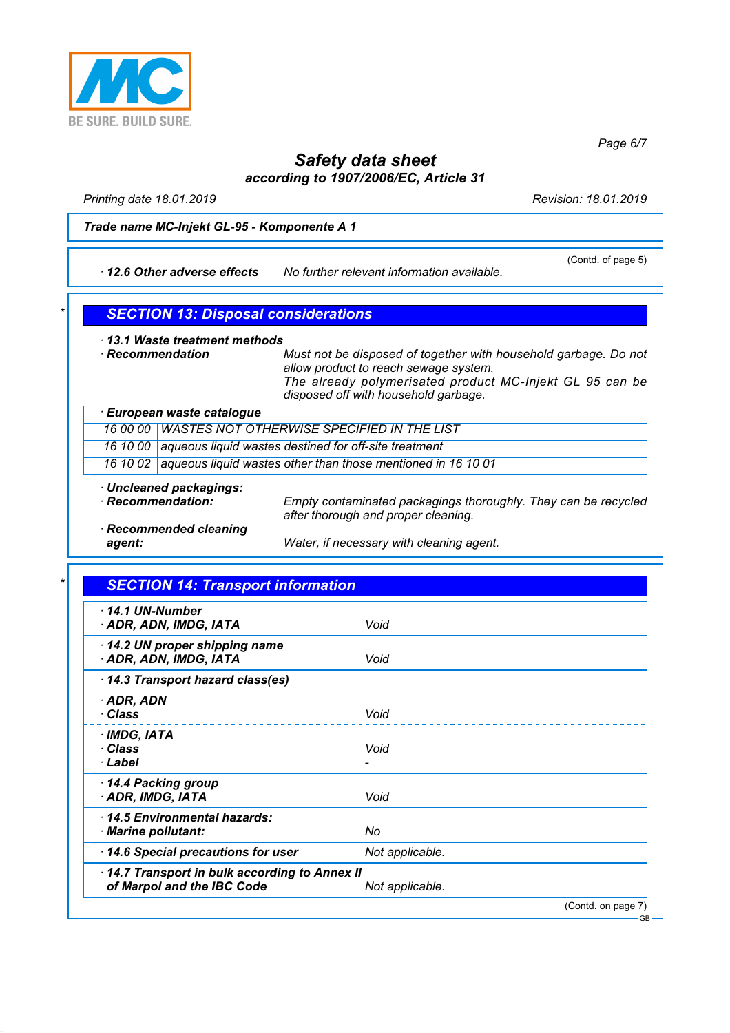

*Page 6/7*

# *Safety data sheet according to 1907/2006/EC, Article 31*

*Printing date 18.01.2019 Revision: 18.01.2019*

#### *Trade name MC-Injekt GL-95 - Komponente A 1*

*· 12.6 Other adverse effects No further relevant information available.*

(Contd. of page 5)

### *\* SECTION 13: Disposal considerations*

*· 13.1 Waste treatment methods*

*· Recommendation Must not be disposed of together with household garbage. Do not allow product to reach sewage system. The already polymerisated product MC-Injekt GL 95 can be disposed off with household garbage.*

|        | · European waste catalogue                                            |                                                                                                       |
|--------|-----------------------------------------------------------------------|-------------------------------------------------------------------------------------------------------|
|        | 16 00 00 WASTES NOT OTHERWISE SPECIFIED IN THE LIST                   |                                                                                                       |
|        | 16 10 00 aqueous liquid wastes destined for off-site treatment        |                                                                                                       |
|        | 16 10 02 aqueous liquid wastes other than those mentioned in 16 10 01 |                                                                                                       |
|        | · Uncleaned packagings:                                               |                                                                                                       |
|        | · Recommendation:                                                     | Empty contaminated packagings thoroughly. They can be recycled<br>after thorough and proper cleaning. |
| agent: | · Recommended cleaning                                                | Water, if necessary with cleaning agent.                                                              |

### *\* SECTION 14: Transport information*

| $-14.1$ UN-Number<br>· ADR, ADN, IMDG, IATA                                | Void               |
|----------------------------------------------------------------------------|--------------------|
| 14.2 UN proper shipping name<br>· ADR, ADN, IMDG, IATA                     | Void               |
| 14.3 Transport hazard class(es)                                            |                    |
| $\cdot$ ADR, ADN<br>· Class                                                | Void               |
| · IMDG, IATA<br>· Class<br>· Label                                         | Void               |
| 14.4 Packing group<br>· ADR, IMDG, IATA                                    | Void               |
| 14.5 Environmental hazards:<br>· Marine pollutant:                         | No                 |
| 14.6 Special precautions for user                                          | Not applicable.    |
| 14.7 Transport in bulk according to Annex II<br>of Marpol and the IBC Code | Not applicable.    |
|                                                                            | (Contd. on page 7) |

GB